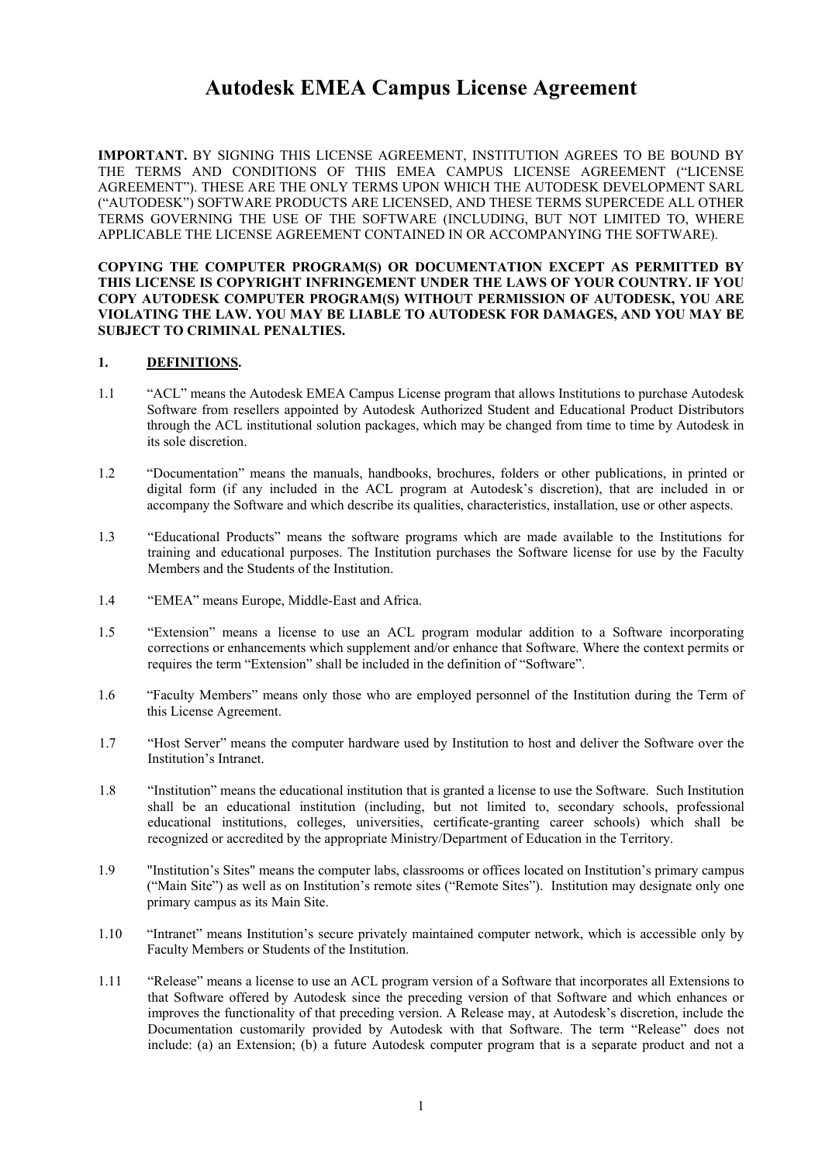**IMPORTANT.** BY SIGNING THIS LICENSE AGREEMENT, INSTITUTION AGREES TO BE BOUND BY THE TERMS AND CONDITIONS OF THIS EMEA CAMPUS LICENSE AGREEMENT ("LICENSE AGREEMENT"). THESE ARE THE ONLY TERMS UPON WHICH THE AUTODESK DEVELOPMENT SARL ("AUTODESK") SOFTWARE PRODUCTS ARE LICENSED, AND THESE TERMS SUPERCEDE ALL OTHER TERMS GOVERNING THE USE OF THE SOFTWARE (INCLUDING, BUT NOT LIMITED TO, WHERE APPLICABLE THE LICENSE AGREEMENT CONTAINED IN OR ACCOMPANYING THE SOFTWARE).

**COPYING THE COMPUTER PROGRAM(S) OR DOCUMENTATION EXCEPT AS PERMITTED BY THIS LICENSE IS COPYRIGHT INFRINGEMENT UNDER THE LAWS OF YOUR COUNTRY. IF YOU COPY AUTODESK COMPUTER PROGRAM(S) WITHOUT PERMISSION OF AUTODESK, YOU ARE VIOLATING THE LAW. YOU MAY BE LIABLE TO AUTODESK FOR DAMAGES, AND YOU MAY BE SUBJECT TO CRIMINAL PENALTIES.** 

### **1. DEFINITIONS.**

- 1.1 "ACL" means the Autodesk EMEA Campus License program that allows Institutions to purchase Autodesk Software from resellers appointed by Autodesk Authorized Student and Educational Product Distributors through the ACL institutional solution packages, which may be changed from time to time by Autodesk in its sole discretion.
- 1.2 "Documentation" means the manuals, handbooks, brochures, folders or other publications, in printed or digital form (if any included in the ACL program at Autodesk's discretion), that are included in or accompany the Software and which describe its qualities, characteristics, installation, use or other aspects.
- 1.3 "Educational Products" means the software programs which are made available to the Institutions for training and educational purposes. The Institution purchases the Software license for use by the Faculty Members and the Students of the Institution.
- 1.4 "EMEA" means Europe, Middle-East and Africa.
- 1.5 "Extension" means a license to use an ACL program modular addition to a Software incorporating corrections or enhancements which supplement and/or enhance that Software. Where the context permits or requires the term "Extension" shall be included in the definition of "Software".
- 1.6 "Faculty Members" means only those who are employed personnel of the Institution during the Term of this License Agreement.
- 1.7 "Host Server" means the computer hardware used by Institution to host and deliver the Software over the Institution's Intranet.
- 1.8 "Institution" means the educational institution that is granted a license to use the Software. Such Institution shall be an educational institution (including, but not limited to, secondary schools, professional educational institutions, colleges, universities, certificate-granting career schools) which shall be recognized or accredited by the appropriate Ministry/Department of Education in the Territory.
- 1.9 "Institution's Sites" means the computer labs, classrooms or offices located on Institution's primary campus ("Main Site") as well as on Institution's remote sites ("Remote Sites"). Institution may designate only one primary campus as its Main Site.
- 1.10 "Intranet" means Institution's secure privately maintained computer network, which is accessible only by Faculty Members or Students of the Institution.
- 1.11 "Release" means a license to use an ACL program version of a Software that incorporates all Extensions to that Software offered by Autodesk since the preceding version of that Software and which enhances or improves the functionality of that preceding version. A Release may, at Autodesk's discretion, include the Documentation customarily provided by Autodesk with that Software. The term "Release" does not include: (a) an Extension; (b) a future Autodesk computer program that is a separate product and not a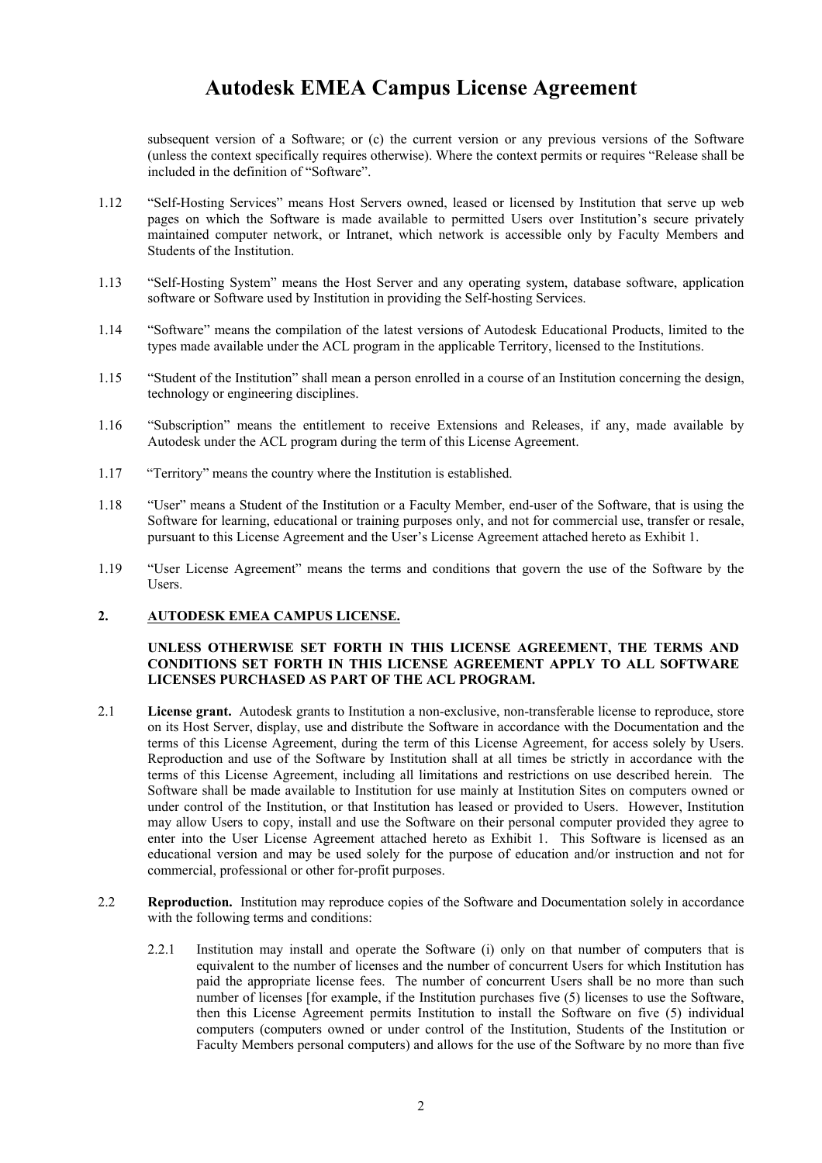subsequent version of a Software; or (c) the current version or any previous versions of the Software (unless the context specifically requires otherwise). Where the context permits or requires "Release shall be included in the definition of "Software".

- 1.12 "Self-Hosting Services" means Host Servers owned, leased or licensed by Institution that serve up web pages on which the Software is made available to permitted Users over Institution's secure privately maintained computer network, or Intranet, which network is accessible only by Faculty Members and Students of the Institution.
- 1.13 "Self-Hosting System" means the Host Server and any operating system, database software, application software or Software used by Institution in providing the Self-hosting Services.
- 1.14 "Software" means the compilation of the latest versions of Autodesk Educational Products, limited to the types made available under the ACL program in the applicable Territory, licensed to the Institutions.
- 1.15 "Student of the Institution" shall mean a person enrolled in a course of an Institution concerning the design, technology or engineering disciplines.
- 1.16 "Subscription" means the entitlement to receive Extensions and Releases, if any, made available by Autodesk under the ACL program during the term of this License Agreement.
- 1.17 "Territory" means the country where the Institution is established.
- 1.18 "User" means a Student of the Institution or a Faculty Member, end-user of the Software, that is using the Software for learning, educational or training purposes only, and not for commercial use, transfer or resale, pursuant to this License Agreement and the User's License Agreement attached hereto as Exhibit 1.
- 1.19 "User License Agreement" means the terms and conditions that govern the use of the Software by the Users.

#### **2. AUTODESK EMEA CAMPUS LICENSE.**

#### **UNLESS OTHERWISE SET FORTH IN THIS LICENSE AGREEMENT, THE TERMS AND CONDITIONS SET FORTH IN THIS LICENSE AGREEMENT APPLY TO ALL SOFTWARE LICENSES PURCHASED AS PART OF THE ACL PROGRAM.**

- 2.1 **License grant.** Autodesk grants to Institution a non-exclusive, non-transferable license to reproduce, store on its Host Server, display, use and distribute the Software in accordance with the Documentation and the terms of this License Agreement, during the term of this License Agreement, for access solely by Users. Reproduction and use of the Software by Institution shall at all times be strictly in accordance with the terms of this License Agreement, including all limitations and restrictions on use described herein. The Software shall be made available to Institution for use mainly at Institution Sites on computers owned or under control of the Institution, or that Institution has leased or provided to Users. However, Institution may allow Users to copy, install and use the Software on their personal computer provided they agree to enter into the User License Agreement attached hereto as Exhibit 1. This Software is licensed as an educational version and may be used solely for the purpose of education and/or instruction and not for commercial, professional or other for-profit purposes.
- 2.2 **Reproduction.** Institution may reproduce copies of the Software and Documentation solely in accordance with the following terms and conditions:
	- 2.2.1 Institution may install and operate the Software (i) only on that number of computers that is equivalent to the number of licenses and the number of concurrent Users for which Institution has paid the appropriate license fees. The number of concurrent Users shall be no more than such number of licenses [for example, if the Institution purchases five (5) licenses to use the Software, then this License Agreement permits Institution to install the Software on five (5) individual computers (computers owned or under control of the Institution, Students of the Institution or Faculty Members personal computers) and allows for the use of the Software by no more than five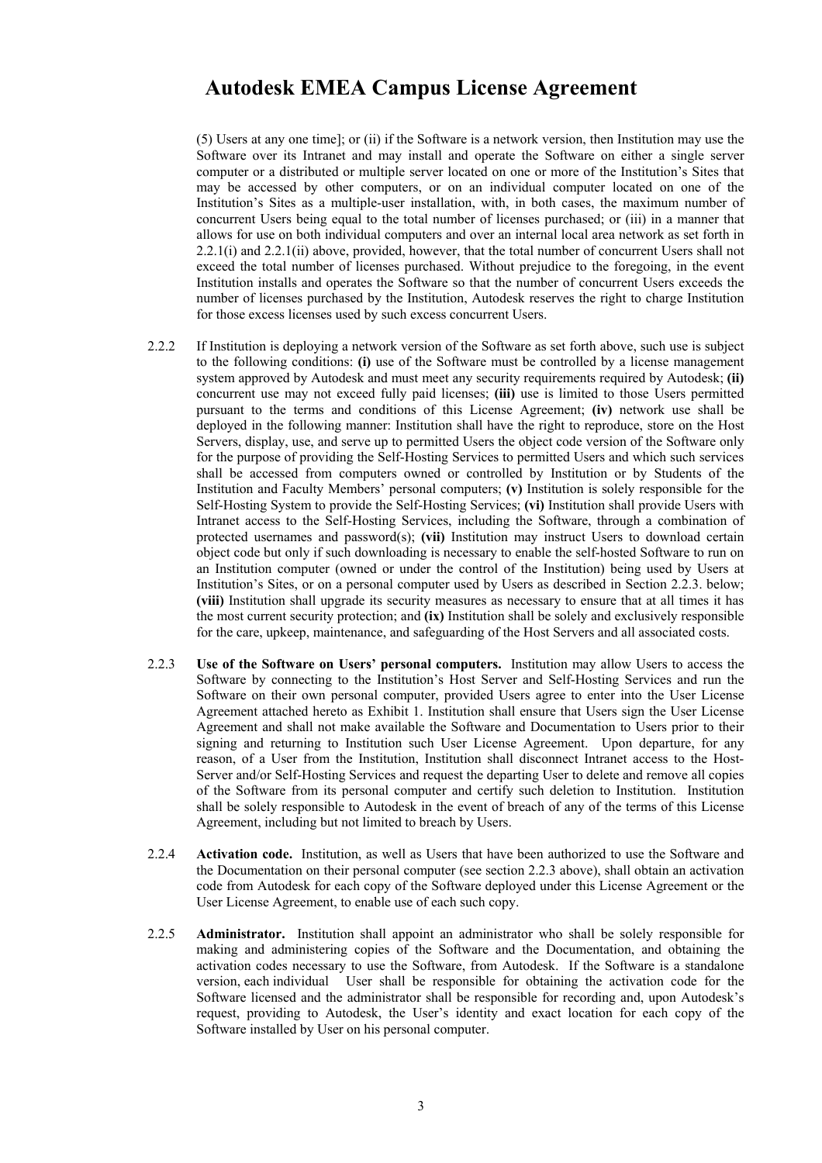(5) Users at any one time]; or (ii) if the Software is a network version, then Institution may use the Software over its Intranet and may install and operate the Software on either a single server computer or a distributed or multiple server located on one or more of the Institution's Sites that may be accessed by other computers, or on an individual computer located on one of the Institution's Sites as a multiple-user installation, with, in both cases, the maximum number of concurrent Users being equal to the total number of licenses purchased; or (iii) in a manner that allows for use on both individual computers and over an internal local area network as set forth in 2.2.1(i) and 2.2.1(ii) above, provided, however, that the total number of concurrent Users shall not exceed the total number of licenses purchased. Without prejudice to the foregoing, in the event Institution installs and operates the Software so that the number of concurrent Users exceeds the number of licenses purchased by the Institution, Autodesk reserves the right to charge Institution for those excess licenses used by such excess concurrent Users.

- 2.2.2 If Institution is deploying a network version of the Software as set forth above, such use is subject to the following conditions: **(i)** use of the Software must be controlled by a license management system approved by Autodesk and must meet any security requirements required by Autodesk; **(ii)** concurrent use may not exceed fully paid licenses; **(iii)** use is limited to those Users permitted pursuant to the terms and conditions of this License Agreement; **(iv)** network use shall be deployed in the following manner: Institution shall have the right to reproduce, store on the Host Servers, display, use, and serve up to permitted Users the object code version of the Software only for the purpose of providing the Self-Hosting Services to permitted Users and which such services shall be accessed from computers owned or controlled by Institution or by Students of the Institution and Faculty Members' personal computers; **(v)** Institution is solely responsible for the Self-Hosting System to provide the Self-Hosting Services; **(vi)** Institution shall provide Users with Intranet access to the Self-Hosting Services, including the Software, through a combination of protected usernames and password(s); **(vii)** Institution may instruct Users to download certain object code but only if such downloading is necessary to enable the self-hosted Software to run on an Institution computer (owned or under the control of the Institution) being used by Users at Institution's Sites, or on a personal computer used by Users as described in Section 2.2.3. below; **(viii)** Institution shall upgrade its security measures as necessary to ensure that at all times it has the most current security protection; and **(ix)** Institution shall be solely and exclusively responsible for the care, upkeep, maintenance, and safeguarding of the Host Servers and all associated costs.
- 2.2.3 **Use of the Software on Users' personal computers.** Institution may allow Users to access the Software by connecting to the Institution's Host Server and Self-Hosting Services and run the Software on their own personal computer, provided Users agree to enter into the User License Agreement attached hereto as Exhibit 1. Institution shall ensure that Users sign the User License Agreement and shall not make available the Software and Documentation to Users prior to their signing and returning to Institution such User License Agreement. Upon departure, for any reason, of a User from the Institution, Institution shall disconnect Intranet access to the Host-Server and/or Self-Hosting Services and request the departing User to delete and remove all copies of the Software from its personal computer and certify such deletion to Institution. Institution shall be solely responsible to Autodesk in the event of breach of any of the terms of this License Agreement, including but not limited to breach by Users.
- 2.2.4 **Activation code.** Institution, as well as Users that have been authorized to use the Software and the Documentation on their personal computer (see section 2.2.3 above), shall obtain an activation code from Autodesk for each copy of the Software deployed under this License Agreement or the User License Agreement, to enable use of each such copy.
- 2.2.5 **Administrator.** Institution shall appoint an administrator who shall be solely responsible for making and administering copies of the Software and the Documentation, and obtaining the activation codes necessary to use the Software, from Autodesk. If the Software is a standalone version, each individual User shall be responsible for obtaining the activation code for the Software licensed and the administrator shall be responsible for recording and, upon Autodesk's request, providing to Autodesk, the User's identity and exact location for each copy of the Software installed by User on his personal computer.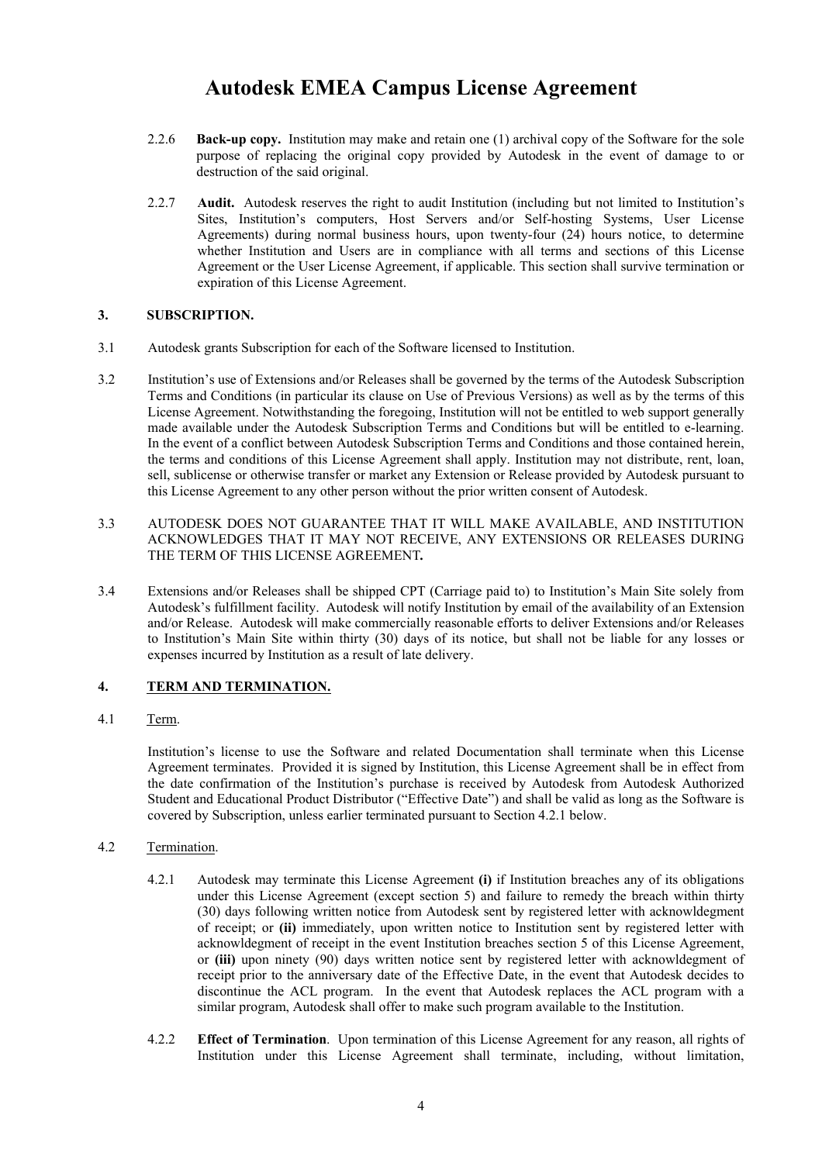- 2.2.6 **Back-up copy.** Institution may make and retain one (1) archival copy of the Software for the sole purpose of replacing the original copy provided by Autodesk in the event of damage to or destruction of the said original.
- 2.2.7 **Audit.** Autodesk reserves the right to audit Institution (including but not limited to Institution's Sites, Institution's computers, Host Servers and/or Self-hosting Systems, User License Agreements) during normal business hours, upon twenty-four (24) hours notice, to determine whether Institution and Users are in compliance with all terms and sections of this License Agreement or the User License Agreement, if applicable. This section shall survive termination or expiration of this License Agreement.

### **3. SUBSCRIPTION.**

- 3.1 Autodesk grants Subscription for each of the Software licensed to Institution.
- 3.2 Institution's use of Extensions and/or Releases shall be governed by the terms of the Autodesk Subscription Terms and Conditions (in particular its clause on Use of Previous Versions) as well as by the terms of this License Agreement. Notwithstanding the foregoing, Institution will not be entitled to web support generally made available under the Autodesk Subscription Terms and Conditions but will be entitled to e-learning. In the event of a conflict between Autodesk Subscription Terms and Conditions and those contained herein, the terms and conditions of this License Agreement shall apply. Institution may not distribute, rent, loan, sell, sublicense or otherwise transfer or market any Extension or Release provided by Autodesk pursuant to this License Agreement to any other person without the prior written consent of Autodesk.
- 3.3 AUTODESK DOES NOT GUARANTEE THAT IT WILL MAKE AVAILABLE, AND INSTITUTION ACKNOWLEDGES THAT IT MAY NOT RECEIVE, ANY EXTENSIONS OR RELEASES DURING THE TERM OF THIS LICENSE AGREEMENT*.*
- 3.4 Extensions and/or Releases shall be shipped CPT (Carriage paid to) to Institution's Main Site solely from Autodesk's fulfillment facility. Autodesk will notify Institution by email of the availability of an Extension and/or Release. Autodesk will make commercially reasonable efforts to deliver Extensions and/or Releases to Institution's Main Site within thirty (30) days of its notice, but shall not be liable for any losses or expenses incurred by Institution as a result of late delivery.

### **4. TERM AND TERMINATION.**

4.1 Term.

Institution's license to use the Software and related Documentation shall terminate when this License Agreement terminates. Provided it is signed by Institution, this License Agreement shall be in effect from the date confirmation of the Institution's purchase is received by Autodesk from Autodesk Authorized Student and Educational Product Distributor ("Effective Date") and shall be valid as long as the Software is covered by Subscription, unless earlier terminated pursuant to Section 4.2.1 below.

- 4.2 Termination.
	- 4.2.1 Autodesk may terminate this License Agreement **(i)** if Institution breaches any of its obligations under this License Agreement (except section 5) and failure to remedy the breach within thirty (30) days following written notice from Autodesk sent by registered letter with acknowldegment of receipt; or **(ii)** immediately, upon written notice to Institution sent by registered letter with acknowldegment of receipt in the event Institution breaches section 5 of this License Agreement, or **(iii)** upon ninety (90) days written notice sent by registered letter with acknowldegment of receipt prior to the anniversary date of the Effective Date, in the event that Autodesk decides to discontinue the ACL program. In the event that Autodesk replaces the ACL program with a similar program, Autodesk shall offer to make such program available to the Institution.
	- 4.2.2 **Effect of Termination**. Upon termination of this License Agreement for any reason, all rights of Institution under this License Agreement shall terminate, including, without limitation,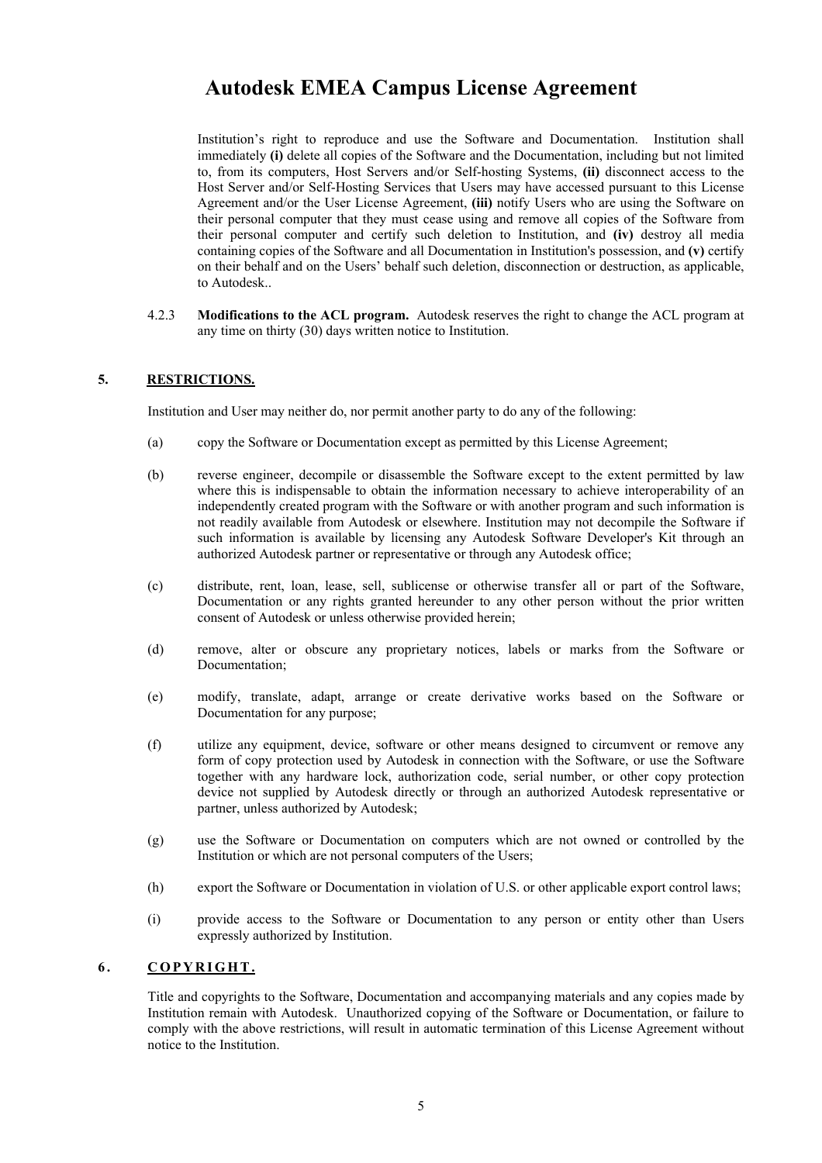Institution's right to reproduce and use the Software and Documentation. Institution shall immediately **(i)** delete all copies of the Software and the Documentation, including but not limited to, from its computers, Host Servers and/or Self-hosting Systems, **(ii)** disconnect access to the Host Server and/or Self-Hosting Services that Users may have accessed pursuant to this License Agreement and/or the User License Agreement, **(iii)** notify Users who are using the Software on their personal computer that they must cease using and remove all copies of the Software from their personal computer and certify such deletion to Institution, and **(iv)** destroy all media containing copies of the Software and all Documentation in Institution's possession, and **(v)** certify on their behalf and on the Users' behalf such deletion, disconnection or destruction, as applicable, to Autodesk..

4.2.3 **Modifications to the ACL program.** Autodesk reserves the right to change the ACL program at any time on thirty (30) days written notice to Institution.

### **5. RESTRICTIONS.**

Institution and User may neither do, nor permit another party to do any of the following:

- (a) copy the Software or Documentation except as permitted by this License Agreement;
- (b) reverse engineer, decompile or disassemble the Software except to the extent permitted by law where this is indispensable to obtain the information necessary to achieve interoperability of an independently created program with the Software or with another program and such information is not readily available from Autodesk or elsewhere. Institution may not decompile the Software if such information is available by licensing any Autodesk Software Developer's Kit through an authorized Autodesk partner or representative or through any Autodesk office;
- (c) distribute, rent, loan, lease, sell, sublicense or otherwise transfer all or part of the Software, Documentation or any rights granted hereunder to any other person without the prior written consent of Autodesk or unless otherwise provided herein;
- (d) remove, alter or obscure any proprietary notices, labels or marks from the Software or Documentation;
- (e) modify, translate, adapt, arrange or create derivative works based on the Software or Documentation for any purpose;
- (f) utilize any equipment, device, software or other means designed to circumvent or remove any form of copy protection used by Autodesk in connection with the Software, or use the Software together with any hardware lock, authorization code, serial number, or other copy protection device not supplied by Autodesk directly or through an authorized Autodesk representative or partner, unless authorized by Autodesk;
- (g) use the Software or Documentation on computers which are not owned or controlled by the Institution or which are not personal computers of the Users;
- (h) export the Software or Documentation in violation of U.S. or other applicable export control laws;
- (i) provide access to the Software or Documentation to any person or entity other than Users expressly authorized by Institution.

#### **6. COPYRIGHT.**

Title and copyrights to the Software, Documentation and accompanying materials and any copies made by Institution remain with Autodesk. Unauthorized copying of the Software or Documentation, or failure to comply with the above restrictions, will result in automatic termination of this License Agreement without notice to the Institution.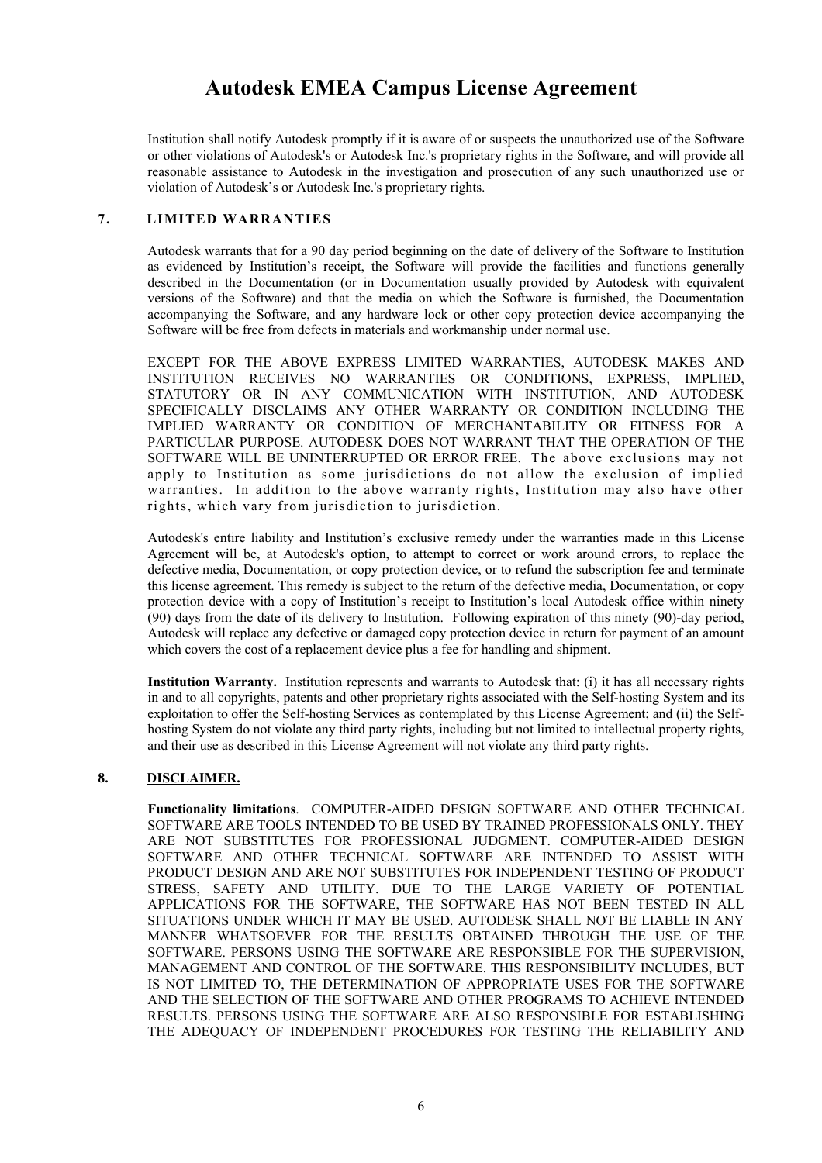Institution shall notify Autodesk promptly if it is aware of or suspects the unauthorized use of the Software or other violations of Autodesk's or Autodesk Inc.'s proprietary rights in the Software, and will provide all reasonable assistance to Autodesk in the investigation and prosecution of any such unauthorized use or violation of Autodesk's or Autodesk Inc.'s proprietary rights.

### **7. LIMITED WARRANTIES**

Autodesk warrants that for a 90 day period beginning on the date of delivery of the Software to Institution as evidenced by Institution's receipt, the Software will provide the facilities and functions generally described in the Documentation (or in Documentation usually provided by Autodesk with equivalent versions of the Software) and that the media on which the Software is furnished, the Documentation accompanying the Software, and any hardware lock or other copy protection device accompanying the Software will be free from defects in materials and workmanship under normal use.

EXCEPT FOR THE ABOVE EXPRESS LIMITED WARRANTIES, AUTODESK MAKES AND INSTITUTION RECEIVES NO WARRANTIES OR CONDITIONS, EXPRESS, IMPLIED, STATUTORY OR IN ANY COMMUNICATION WITH INSTITUTION, AND AUTODESK SPECIFICALLY DISCLAIMS ANY OTHER WARRANTY OR CONDITION INCLUDING THE IMPLIED WARRANTY OR CONDITION OF MERCHANTABILITY OR FITNESS FOR A PARTICULAR PURPOSE. AUTODESK DOES NOT WARRANT THAT THE OPERATION OF THE SOFTWARE WILL BE UNINTERRUPTED OR ERROR FREE. The above exclusions may not apply to Institution as some jurisdictions do not allow the exclusion of implied warranties. In addition to the above warranty rights, Institution may also have other rights, which vary from jurisdiction to jurisdiction.

Autodesk's entire liability and Institution's exclusive remedy under the warranties made in this License Agreement will be, at Autodesk's option, to attempt to correct or work around errors, to replace the defective media, Documentation, or copy protection device, or to refund the subscription fee and terminate this license agreement. This remedy is subject to the return of the defective media, Documentation, or copy protection device with a copy of Institution's receipt to Institution's local Autodesk office within ninety (90) days from the date of its delivery to Institution. Following expiration of this ninety (90)-day period, Autodesk will replace any defective or damaged copy protection device in return for payment of an amount which covers the cost of a replacement device plus a fee for handling and shipment.

**Institution Warranty.** Institution represents and warrants to Autodesk that: (i) it has all necessary rights in and to all copyrights, patents and other proprietary rights associated with the Self-hosting System and its exploitation to offer the Self-hosting Services as contemplated by this License Agreement; and (ii) the Selfhosting System do not violate any third party rights, including but not limited to intellectual property rights, and their use as described in this License Agreement will not violate any third party rights.

### **8. DISCLAIMER.**

**Functionality limitations**. COMPUTER-AIDED DESIGN SOFTWARE AND OTHER TECHNICAL SOFTWARE ARE TOOLS INTENDED TO BE USED BY TRAINED PROFESSIONALS ONLY. THEY ARE NOT SUBSTITUTES FOR PROFESSIONAL JUDGMENT. COMPUTER-AIDED DESIGN SOFTWARE AND OTHER TECHNICAL SOFTWARE ARE INTENDED TO ASSIST WITH PRODUCT DESIGN AND ARE NOT SUBSTITUTES FOR INDEPENDENT TESTING OF PRODUCT STRESS, SAFETY AND UTILITY. DUE TO THE LARGE VARIETY OF POTENTIAL APPLICATIONS FOR THE SOFTWARE, THE SOFTWARE HAS NOT BEEN TESTED IN ALL SITUATIONS UNDER WHICH IT MAY BE USED. AUTODESK SHALL NOT BE LIABLE IN ANY MANNER WHATSOEVER FOR THE RESULTS OBTAINED THROUGH THE USE OF THE SOFTWARE. PERSONS USING THE SOFTWARE ARE RESPONSIBLE FOR THE SUPERVISION, MANAGEMENT AND CONTROL OF THE SOFTWARE. THIS RESPONSIBILITY INCLUDES, BUT IS NOT LIMITED TO, THE DETERMINATION OF APPROPRIATE USES FOR THE SOFTWARE AND THE SELECTION OF THE SOFTWARE AND OTHER PROGRAMS TO ACHIEVE INTENDED RESULTS. PERSONS USING THE SOFTWARE ARE ALSO RESPONSIBLE FOR ESTABLISHING THE ADEQUACY OF INDEPENDENT PROCEDURES FOR TESTING THE RELIABILITY AND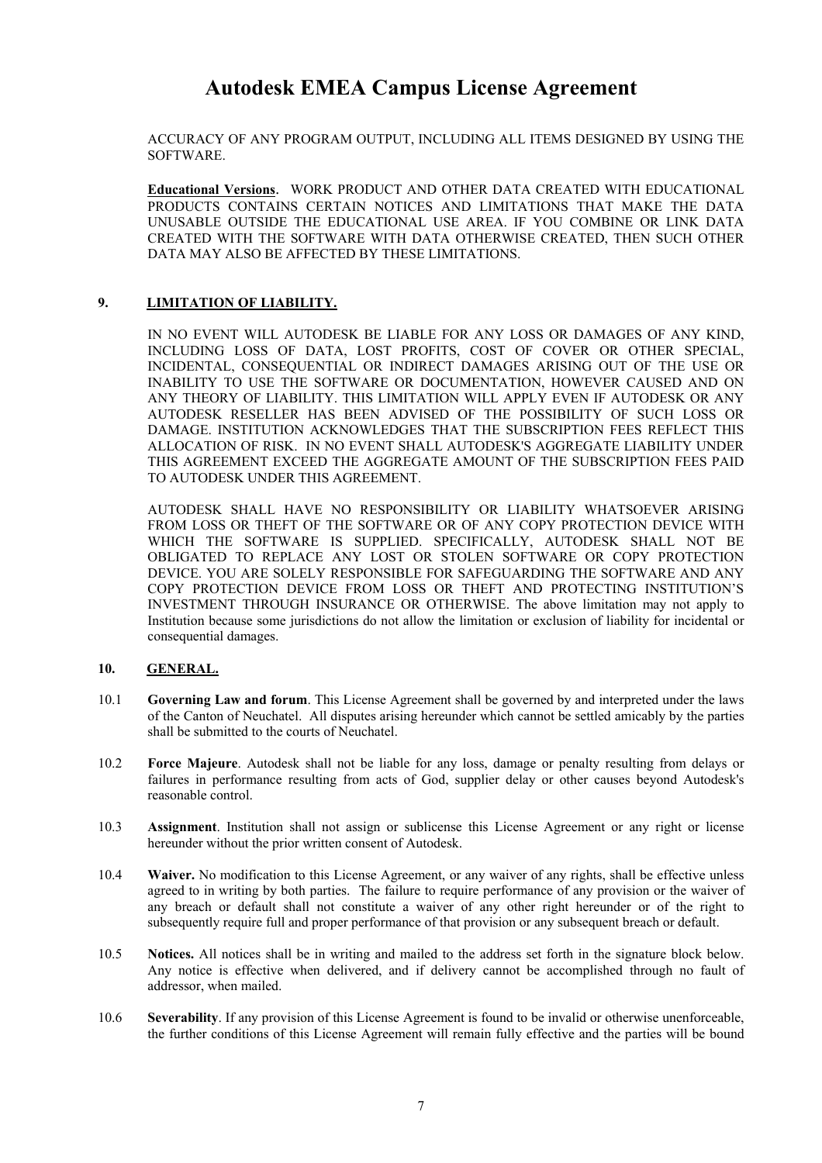ACCURACY OF ANY PROGRAM OUTPUT, INCLUDING ALL ITEMS DESIGNED BY USING THE SOFTWARE.

**Educational Versions**. WORK PRODUCT AND OTHER DATA CREATED WITH EDUCATIONAL PRODUCTS CONTAINS CERTAIN NOTICES AND LIMITATIONS THAT MAKE THE DATA UNUSABLE OUTSIDE THE EDUCATIONAL USE AREA. IF YOU COMBINE OR LINK DATA CREATED WITH THE SOFTWARE WITH DATA OTHERWISE CREATED, THEN SUCH OTHER DATA MAY ALSO BE AFFECTED BY THESE LIMITATIONS.

### **9. LIMITATION OF LIABILITY.**

IN NO EVENT WILL AUTODESK BE LIABLE FOR ANY LOSS OR DAMAGES OF ANY KIND, INCLUDING LOSS OF DATA, LOST PROFITS, COST OF COVER OR OTHER SPECIAL, INCIDENTAL, CONSEQUENTIAL OR INDIRECT DAMAGES ARISING OUT OF THE USE OR INABILITY TO USE THE SOFTWARE OR DOCUMENTATION, HOWEVER CAUSED AND ON ANY THEORY OF LIABILITY. THIS LIMITATION WILL APPLY EVEN IF AUTODESK OR ANY AUTODESK RESELLER HAS BEEN ADVISED OF THE POSSIBILITY OF SUCH LOSS OR DAMAGE. INSTITUTION ACKNOWLEDGES THAT THE SUBSCRIPTION FEES REFLECT THIS ALLOCATION OF RISK. IN NO EVENT SHALL AUTODESK'S AGGREGATE LIABILITY UNDER THIS AGREEMENT EXCEED THE AGGREGATE AMOUNT OF THE SUBSCRIPTION FEES PAID TO AUTODESK UNDER THIS AGREEMENT.

AUTODESK SHALL HAVE NO RESPONSIBILITY OR LIABILITY WHATSOEVER ARISING FROM LOSS OR THEFT OF THE SOFTWARE OR OF ANY COPY PROTECTION DEVICE WITH WHICH THE SOFTWARE IS SUPPLIED. SPECIFICALLY, AUTODESK SHALL NOT BE OBLIGATED TO REPLACE ANY LOST OR STOLEN SOFTWARE OR COPY PROTECTION DEVICE. YOU ARE SOLELY RESPONSIBLE FOR SAFEGUARDING THE SOFTWARE AND ANY COPY PROTECTION DEVICE FROM LOSS OR THEFT AND PROTECTING INSTITUTION'S INVESTMENT THROUGH INSURANCE OR OTHERWISE. The above limitation may not apply to Institution because some jurisdictions do not allow the limitation or exclusion of liability for incidental or consequential damages.

#### **10. GENERAL.**

- 10.1 **Governing Law and forum**. This License Agreement shall be governed by and interpreted under the laws of the Canton of Neuchatel. All disputes arising hereunder which cannot be settled amicably by the parties shall be submitted to the courts of Neuchatel.
- 10.2 **Force Majeure**. Autodesk shall not be liable for any loss, damage or penalty resulting from delays or failures in performance resulting from acts of God, supplier delay or other causes beyond Autodesk's reasonable control.
- 10.3 **Assignment**. Institution shall not assign or sublicense this License Agreement or any right or license hereunder without the prior written consent of Autodesk.
- 10.4 **Waiver.** No modification to this License Agreement, or any waiver of any rights, shall be effective unless agreed to in writing by both parties. The failure to require performance of any provision or the waiver of any breach or default shall not constitute a waiver of any other right hereunder or of the right to subsequently require full and proper performance of that provision or any subsequent breach or default.
- 10.5 **Notices.** All notices shall be in writing and mailed to the address set forth in the signature block below. Any notice is effective when delivered, and if delivery cannot be accomplished through no fault of addressor, when mailed.
- 10.6 **Severability**. If any provision of this License Agreement is found to be invalid or otherwise unenforceable, the further conditions of this License Agreement will remain fully effective and the parties will be bound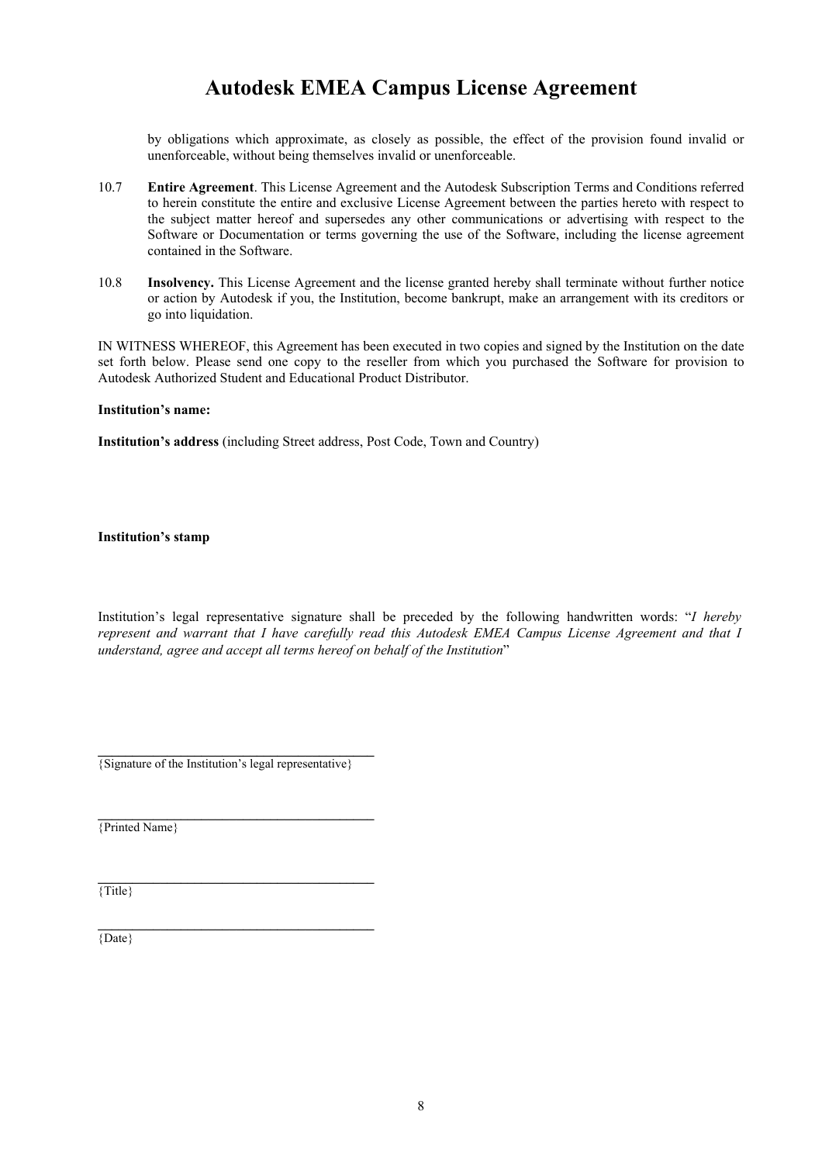by obligations which approximate, as closely as possible, the effect of the provision found invalid or unenforceable, without being themselves invalid or unenforceable.

- 10.7 **Entire Agreement**. This License Agreement and the Autodesk Subscription Terms and Conditions referred to herein constitute the entire and exclusive License Agreement between the parties hereto with respect to the subject matter hereof and supersedes any other communications or advertising with respect to the Software or Documentation or terms governing the use of the Software, including the license agreement contained in the Software.
- 10.8 **Insolvency.** This License Agreement and the license granted hereby shall terminate without further notice or action by Autodesk if you, the Institution, become bankrupt, make an arrangement with its creditors or go into liquidation.

IN WITNESS WHEREOF, this Agreement has been executed in two copies and signed by the Institution on the date set forth below. Please send one copy to the reseller from which you purchased the Software for provision to Autodesk Authorized Student and Educational Product Distributor.

#### **Institution's name:**

**Institution's address** (including Street address, Post Code, Town and Country)

**Institution's stamp** 

Institution's legal representative signature shall be preceded by the following handwritten words: "*I hereby represent and warrant that I have carefully read this Autodesk EMEA Campus License Agreement and that I understand, agree and accept all terms hereof on behalf of the Institution*"

{Signature of the Institution's legal representative}

**\_\_\_\_\_\_\_\_\_\_\_\_\_\_\_\_\_\_\_\_\_\_\_\_\_\_\_\_\_\_\_\_\_\_\_\_\_\_\_\_** 

**\_\_\_\_\_\_\_\_\_\_\_\_\_\_\_\_\_\_\_\_\_\_\_\_\_\_\_\_\_\_\_\_\_\_\_\_\_\_\_\_** 

 $\mathcal{L} = \{ \mathcal{L} \}$ {Printed Name}

{Title}

{Date}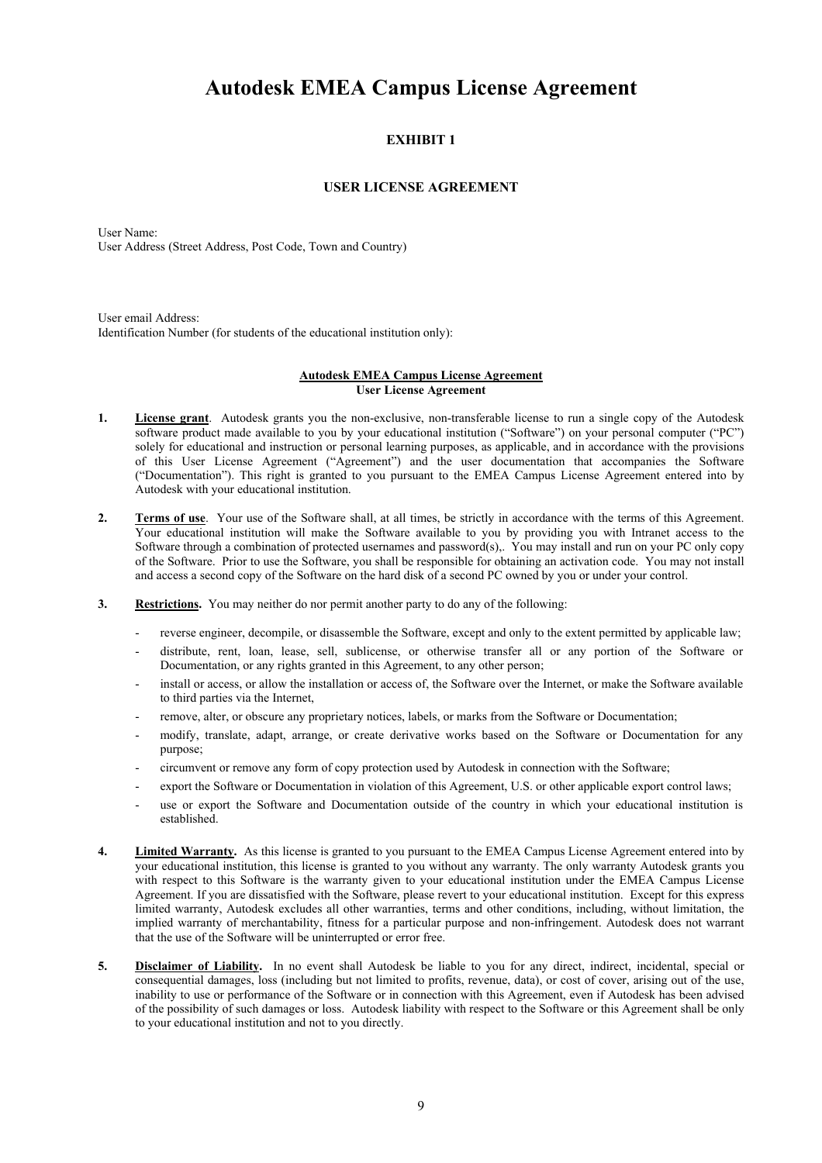### **EXHIBIT 1**

### **USER LICENSE AGREEMENT**

User Name: User Address (Street Address, Post Code, Town and Country)

User email Address: Identification Number (for students of the educational institution only):

#### **Autodesk EMEA Campus License Agreement User License Agreement**

- **1. License grant**. Autodesk grants you the non-exclusive, non-transferable license to run a single copy of the Autodesk software product made available to you by your educational institution ("Software") on your personal computer ("PC") solely for educational and instruction or personal learning purposes, as applicable, and in accordance with the provisions of this User License Agreement ("Agreement") and the user documentation that accompanies the Software ("Documentation"). This right is granted to you pursuant to the EMEA Campus License Agreement entered into by Autodesk with your educational institution.
- **2. Terms of use**. Your use of the Software shall, at all times, be strictly in accordance with the terms of this Agreement. Your educational institution will make the Software available to you by providing you with Intranet access to the Software through a combination of protected usernames and password(s),. You may install and run on your PC only copy of the Software. Prior to use the Software, you shall be responsible for obtaining an activation code. You may not install and access a second copy of the Software on the hard disk of a second PC owned by you or under your control.
- **3. Restrictions.** You may neither do nor permit another party to do any of the following:
	- reverse engineer, decompile, or disassemble the Software, except and only to the extent permitted by applicable law;
	- distribute, rent, loan, lease, sell, sublicense, or otherwise transfer all or any portion of the Software or Documentation, or any rights granted in this Agreement, to any other person;
	- install or access, or allow the installation or access of, the Software over the Internet, or make the Software available to third parties via the Internet,
	- remove, alter, or obscure any proprietary notices, labels, or marks from the Software or Documentation;
	- modify, translate, adapt, arrange, or create derivative works based on the Software or Documentation for any purpose;
	- circumvent or remove any form of copy protection used by Autodesk in connection with the Software;
	- export the Software or Documentation in violation of this Agreement, U.S. or other applicable export control laws;
	- use or export the Software and Documentation outside of the country in which your educational institution is established.
- **4. Limited Warranty.** As this license is granted to you pursuant to the EMEA Campus License Agreement entered into by your educational institution, this license is granted to you without any warranty. The only warranty Autodesk grants you with respect to this Software is the warranty given to your educational institution under the EMEA Campus License Agreement. If you are dissatisfied with the Software, please revert to your educational institution. Except for this express limited warranty, Autodesk excludes all other warranties, terms and other conditions, including, without limitation, the implied warranty of merchantability, fitness for a particular purpose and non-infringement. Autodesk does not warrant that the use of the Software will be uninterrupted or error free.
- **5. Disclaimer of Liability.** In no event shall Autodesk be liable to you for any direct, indirect, incidental, special or consequential damages, loss (including but not limited to profits, revenue, data), or cost of cover, arising out of the use, inability to use or performance of the Software or in connection with this Agreement, even if Autodesk has been advised of the possibility of such damages or loss. Autodesk liability with respect to the Software or this Agreement shall be only to your educational institution and not to you directly.